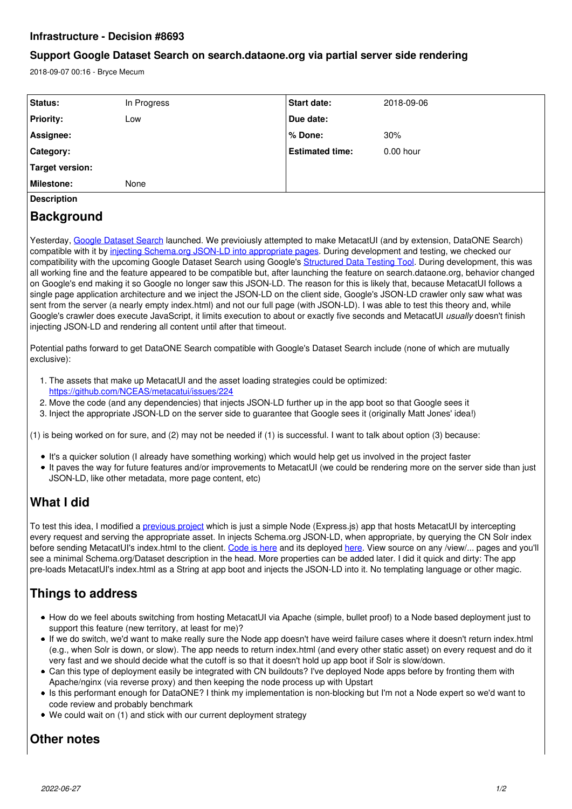### **Infrastructure - Decision #8693**

### **Support Google Dataset Search on search.dataone.org via partial server side rendering**

2018-09-07 00:16 - Bryce Mecum

| Status:            | In Progress | <b>Start date:</b>     | 2018-09-06  |
|--------------------|-------------|------------------------|-------------|
| <b>Priority:</b>   | Low         | Due date:              |             |
| Assignee:          |             | l% Done:               | 30%         |
| Category:          |             | <b>Estimated time:</b> | $0.00$ hour |
| Target version:    |             |                        |             |
| <b>Milestone:</b>  | None        |                        |             |
| <b>Description</b> |             |                        |             |

### **Background**

Yesterday, [Google Dataset Search](https://toolbox.google.com/datasetsearch) launched. We previoiusly attempted to make MetacatUI (and by extension, DataONE Search) compatible with it by [injecting Schema.org JSON-LD into appropriate pages.](https://github.com/NCEAS/metacatui/issues/482) During development and testing, we checked our compatibility with the upcoming Google Dataset Search using Google's [Structured Data Testing Tool](https://search.google.com/structured-data/testing-tool). During development, this was all working fine and the feature appeared to be compatible but, after launching the feature on search.dataone.org, behavior changed on Google's end making it so Google no longer saw this JSON-LD. The reason for this is likely that, because MetacatUI follows a single page application architecture and we inject the JSON-LD on the client side, Google's JSON-LD crawler only saw what was sent from the server (a nearly empty index.html) and not our full page (with JSON-LD). I was able to test this theory and, while Google's crawler does execute JavaScript, it limits execution to about or exactly five seconds and MetacatUI *usually* doesn't finish injecting JSON-LD and rendering all content until after that timeout.

Potential paths forward to get DataONE Search compatible with Google's Dataset Search include (none of which are mutually exclusive):

- 1. The assets that make up MetacatUI and the asset loading strategies could be optimized: <https://github.com/NCEAS/metacatui/issues/224>
- 2. Move the code (and any dependencies) that injects JSON-LD further up in the app boot so that Google sees it
- 3. Inject the appropriate JSON-LD on the server side to guarantee that Google sees it (originally Matt Jones' idea!)

(1) is being worked on for sure, and (2) may not be needed if (1) is successful. I want to talk about option (3) because:

- It's a quicker solution (I already have something working) which would help get us involved in the project faster
- It paves the way for future features and/or improvements to MetacatUI (we could be rendering more on the server side than just JSON-LD, like other metadata, more page content, etc)

## **What I did**

To test this idea, I modified a [previous project](https://github.com/amoeba/backbone-pushstate-example) which is just a simple Node (Express.js) app that hosts MetacatUI by intercepting every request and serving the appropriate asset. In injects Schema.org JSON-LD, when appropriate, by querying the CN Solr index before sending MetacatUI's index.html to the client. [Code is here](https://github.com/amoeba/metacatui-ssr) and its deployed [here](http://neutral-cat.nceas.ucsb.edu/). View source on any /view/... pages and you'll see a minimal Schema.org/Dataset description in the head. More properties can be added later. I did it quick and dirty: The app pre-loads MetacatUI's index.html as a String at app boot and injects the JSON-LD into it. No templating language or other magic.

# **Things to address**

- How do we feel abouts switching from hosting MetacatUI via Apache (simple, bullet proof) to a Node based deployment just to support this feature (new territory, at least for me)?
- If we do switch, we'd want to make really sure the Node app doesn't have weird failure cases where it doesn't return index.html (e.g., when Solr is down, or slow). The app needs to return index.html (and every other static asset) on every request and do it very fast and we should decide what the cutoff is so that it doesn't hold up app boot if Solr is slow/down.
- Can this type of deployment easily be integrated with CN buildouts? I've deployed Node apps before by fronting them with Apache/nginx (via reverse proxy) and then keeping the node process up with Upstart
- Is this performant enough for DataONE? I think my implementation is non-blocking but I'm not a Node expert so we'd want to code review and probably benchmark
- We could wait on (1) and stick with our current deployment strategy

## **Other notes**